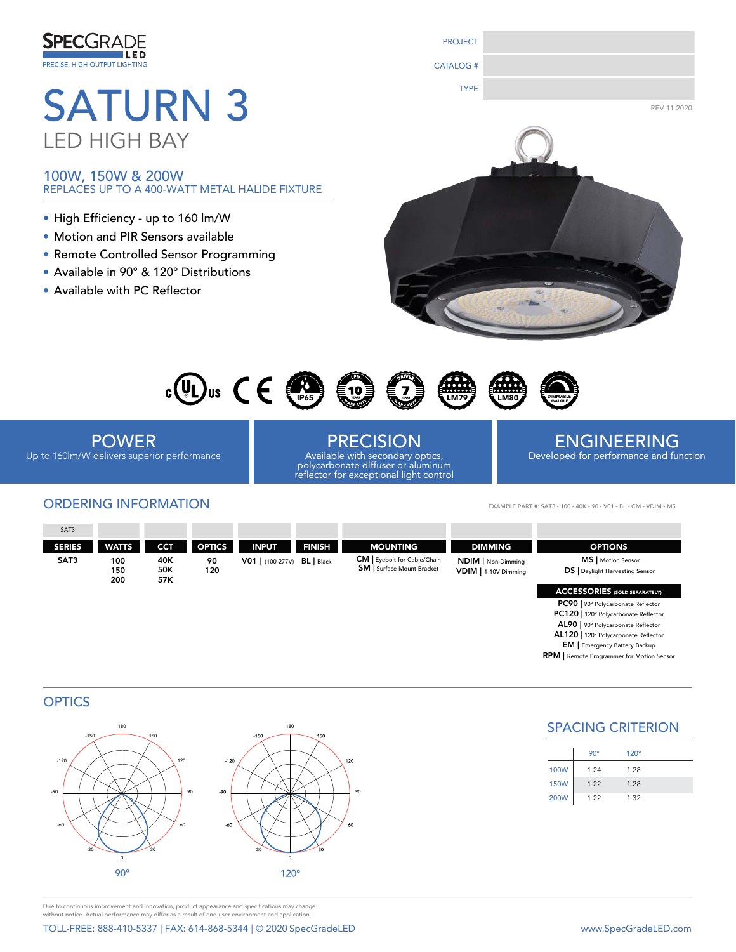

# LED HIGH BAY

100W, 150W & 200W REPLACES UP TO A 400-WATT METAL HALIDE FIXTURE

- High Efficiency up to 160 lm/W
- Motion and PIR Sensors available
- Remote Controlled Sensor Programming
- Available in 90° & 120° Distributions
- Available with PC Reflector



PROJECT

CATALOG #



POWER Up to 160lm/W delivers superior performance

# ORDERING INFORMATION EXAMPLE PART #: SAT3 - 100 - 40K - 90 - V01 - BL - CM - VDIM - MS

PRECISION Available with secondary optics, polycarbonate diffuser or aluminum reflector for exceptional light control

# ENGINEERING Developed for performance and function

| SAT3          |                   |                   |               |                      |                 |                                                                        |                                            |                                                            |
|---------------|-------------------|-------------------|---------------|----------------------|-----------------|------------------------------------------------------------------------|--------------------------------------------|------------------------------------------------------------|
| <b>SERIES</b> | <b>WATTS</b>      | <b>CCT</b>        | <b>OPTICS</b> | <b>INPUT</b>         | <b>FINISH</b>   | <b>MOUNTING</b>                                                        | <b>DIMMING</b>                             | <b>OPTIONS</b>                                             |
| SAT3          | 100<br>150<br>200 | 40K<br>50K<br>57K | 90<br>120     | $V01$   $(100-277V)$ | <b>BL</b> Black | <b>CM</b>   Eyebolt for Cable/Chain<br><b>SM</b> Surface Mount Bracket | NDIM   Non-Dimming<br>VDIM   1-10V Dimming | MS   Motion Sensor<br><b>DS</b> Daylight Harvesting Sensor |
|               |                   |                   |               |                      |                 |                                                                        |                                            | <b>ACCESSORIES</b> (SOLD SEPARATELY)                       |
|               |                   |                   |               |                      |                 |                                                                        |                                            | PC90   90° Polycarbonate Reflector                         |

90

# **OPTICS**



SPACING CRITERION

PC120 | 120° Polycarbonate Reflector AL90 | 90° Polycarbonate Reflector AL120 | 120° Polycarbonate Reflector EM | Emergency Battery Backup RPM | Remote Programmer for Motion Sensor

|             | $90^\circ$ | $120^\circ$ |  |
|-------------|------------|-------------|--|
| <b>100W</b> | 1.24       | 1.28        |  |
| <b>150W</b> | 1.22       | 1.28        |  |
| <b>200W</b> | 1.22       | 1.32        |  |

Due to continuous improvement and innovation, product appearance and specifications may change without notice. Actual performance may differ as a result of end-user environment and application.

TOLL-FREE: 888-410-5337 | FAX: 614-868-5344 | © 2020 SpecGradeLED